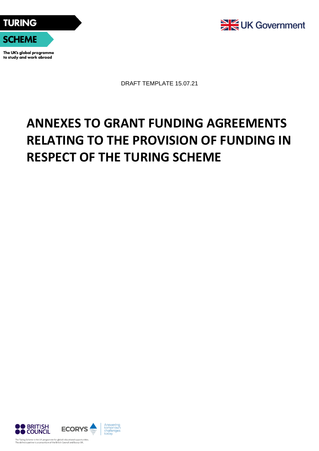



The UK's global programme to study and work abroad



DRAFT TEMPLATE 15.07.21

# **ANNEXES TO GRANT FUNDING AGREEMENTS RELATING TO THE PROVISION OF FUNDING IN RESPECT OF THE TURING SCHEME**

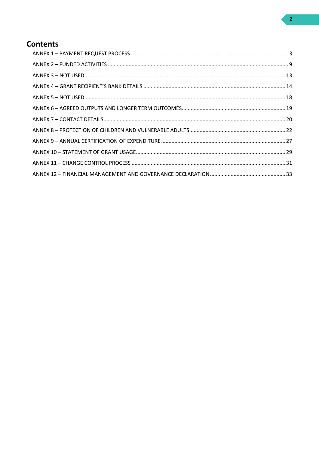# **Contents**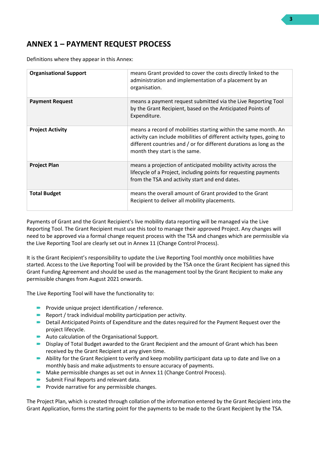# <span id="page-2-0"></span>**ANNEX 1 – PAYMENT REQUEST PROCESS**

Definitions where they appear in this Annex:

| <b>Organisational Support</b> | means Grant provided to cover the costs directly linked to the<br>administration and implementation of a placement by an<br>organisation.                                                                                                        |
|-------------------------------|--------------------------------------------------------------------------------------------------------------------------------------------------------------------------------------------------------------------------------------------------|
| <b>Payment Request</b>        | means a payment request submitted via the Live Reporting Tool<br>by the Grant Recipient, based on the Anticipated Points of<br>Expenditure.                                                                                                      |
| <b>Project Activity</b>       | means a record of mobilities starting within the same month. An<br>activity can include mobilities of different activity types, going to<br>different countries and / or for different durations as long as the<br>month they start is the same. |
| <b>Project Plan</b>           | means a projection of anticipated mobility activity across the<br>lifecycle of a Project, including points for requesting payments<br>from the TSA and activity start and end dates.                                                             |
| <b>Total Budget</b>           | means the overall amount of Grant provided to the Grant<br>Recipient to deliver all mobility placements.                                                                                                                                         |

Payments of Grant and the Grant Recipient's live mobility data reporting will be managed via the Live Reporting Tool. The Grant Recipient must use this tool to manage their approved Project. Any changes will need to be approved via a formal change request process with the TSA and changes which are permissible via the Live Reporting Tool are clearly set out in Annex 11 (Change Control Process).

It is the Grant Recipient's responsibility to update the Live Reporting Tool monthly once mobilities have started. Access to the Live Reporting Tool will be provided by the TSA once the Grant Recipient has signed this Grant Funding Agreement and should be used as the management tool by the Grant Recipient to make any permissible changes from August 2021 onwards.

The Live Reporting Tool will have the functionality to:

- **Provide unique project identification / reference.**
- Report / track individual mobility participation per activity.
- Detail Anticipated Points of Expenditure and the dates required for the Payment Request over the project lifecycle.
- Auto calculation of the Organisational Support.
- Display of Total Budget awarded to the Grant Recipient and the amount of Grant which has been received by the Grant Recipient at any given time.
- Ability for the Grant Recipient to verify and keep mobility participant data up to date and live on a monthly basis and make adjustments to ensure accuracy of payments.
- Make permissible changes as set out in Annex 11 (Change Control Process).
- Submit Final Reports and relevant data.
- $\blacksquare$  Provide narrative for any permissible changes.

The Project Plan, which is created through collation of the information entered by the Grant Recipient into the Grant Application, forms the starting point for the payments to be made to the Grant Recipient by the TSA.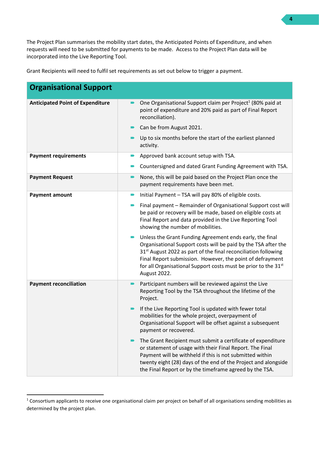The Project Plan summarises the mobility start dates, the Anticipated Points of Expenditure, and when requests will need to be submitted for payments to be made. Access to the Project Plan data will be incorporated into the Live Reporting Tool.

Grant Recipients will need to fulfil set requirements as set out below to trigger a payment.

| <b>Organisational Support</b>           |                                                                                                                                                                                                                                                                                                                                                                     |
|-----------------------------------------|---------------------------------------------------------------------------------------------------------------------------------------------------------------------------------------------------------------------------------------------------------------------------------------------------------------------------------------------------------------------|
| <b>Anticipated Point of Expenditure</b> | One Organisational Support claim per Project <sup>1</sup> (80% paid at<br>point of expenditure and 20% paid as part of Final Report<br>reconciliation).                                                                                                                                                                                                             |
|                                         | Can be from August 2021.                                                                                                                                                                                                                                                                                                                                            |
|                                         | Up to six months before the start of the earliest planned<br>activity.                                                                                                                                                                                                                                                                                              |
| <b>Payment requirements</b>             | Approved bank account setup with TSA.                                                                                                                                                                                                                                                                                                                               |
|                                         | Countersigned and dated Grant Funding Agreement with TSA.                                                                                                                                                                                                                                                                                                           |
| <b>Payment Request</b>                  | None, this will be paid based on the Project Plan once the<br>payment requirements have been met.                                                                                                                                                                                                                                                                   |
| <b>Payment amount</b>                   | Initial Payment - TSA will pay 80% of eligible costs.<br>$\blacksquare$                                                                                                                                                                                                                                                                                             |
|                                         | Final payment - Remainder of Organisational Support cost will<br>be paid or recovery will be made, based on eligible costs at<br>Final Report and data provided in the Live Reporting Tool<br>showing the number of mobilities.                                                                                                                                     |
|                                         | Unless the Grant Funding Agreement ends early, the final<br>Organisational Support costs will be paid by the TSA after the<br>31 <sup>st</sup> August 2022 as part of the final reconciliation following<br>Final Report submission. However, the point of defrayment<br>for all Organisational Support costs must be prior to the 31 <sup>st</sup><br>August 2022. |
| <b>Payment reconciliation</b>           | Participant numbers will be reviewed against the Live<br>Reporting Tool by the TSA throughout the lifetime of the<br>Project.                                                                                                                                                                                                                                       |
|                                         | If the Live Reporting Tool is updated with fewer total<br>mobilities for the whole project, overpayment of<br>Organisational Support will be offset against a subsequent<br>payment or recovered.                                                                                                                                                                   |
|                                         | The Grant Recipient must submit a certificate of expenditure<br>or statement of usage with their Final Report. The Final<br>Payment will be withheld if this is not submitted within<br>twenty eight (28) days of the end of the Project and alongside<br>the Final Report or by the timeframe agreed by the TSA.                                                   |

<sup>&</sup>lt;sup>1</sup> Consortium applicants to receive one organisational claim per project on behalf of all organisations sending mobilities as determined by the project plan.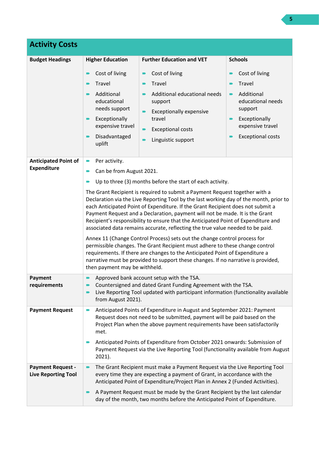| <b>Activity Costs</b>                                  |                                                                                                                                                                                                                                                                                                                                                                                                                                                                                                                                                                                                                                                                                                                                                                                                                                                                                                                                                                                                                      |                                                                                                                                                                                                                                                                                                                                                                                                     |                                                                                                                                                           |
|--------------------------------------------------------|----------------------------------------------------------------------------------------------------------------------------------------------------------------------------------------------------------------------------------------------------------------------------------------------------------------------------------------------------------------------------------------------------------------------------------------------------------------------------------------------------------------------------------------------------------------------------------------------------------------------------------------------------------------------------------------------------------------------------------------------------------------------------------------------------------------------------------------------------------------------------------------------------------------------------------------------------------------------------------------------------------------------|-----------------------------------------------------------------------------------------------------------------------------------------------------------------------------------------------------------------------------------------------------------------------------------------------------------------------------------------------------------------------------------------------------|-----------------------------------------------------------------------------------------------------------------------------------------------------------|
| <b>Budget Headings</b>                                 | <b>Higher Education</b>                                                                                                                                                                                                                                                                                                                                                                                                                                                                                                                                                                                                                                                                                                                                                                                                                                                                                                                                                                                              | <b>Further Education and VET</b>                                                                                                                                                                                                                                                                                                                                                                    | <b>Schools</b>                                                                                                                                            |
|                                                        | Cost of living<br>Travel<br>Additional<br>educational<br>needs support<br>Exceptionally<br>expensive travel<br>Disadvantaged<br>uplift                                                                                                                                                                                                                                                                                                                                                                                                                                                                                                                                                                                                                                                                                                                                                                                                                                                                               | Cost of living<br>Travel<br>Additional educational needs<br>support<br><b>Exceptionally expensive</b><br>travel<br><b>Exceptional costs</b><br>Linguistic support                                                                                                                                                                                                                                   | Cost of living<br>Travel<br>Additional<br>$\blacksquare$<br>educational needs<br>support<br>Exceptionally<br>expensive travel<br><b>Exceptional costs</b> |
| <b>Anticipated Point of</b><br><b>Expenditure</b>      | Per activity.<br>$\blacksquare$<br>Can be from August 2021.<br>D<br>Up to three (3) months before the start of each activity.<br>The Grant Recipient is required to submit a Payment Request together with a<br>Declaration via the Live Reporting Tool by the last working day of the month, prior to<br>each Anticipated Point of Expenditure. If the Grant Recipient does not submit a<br>Payment Request and a Declaration, payment will not be made. It is the Grant<br>Recipient's responsibility to ensure that the Anticipated Point of Expenditure and<br>associated data remains accurate, reflecting the true value needed to be paid.<br>Annex 11 (Change Control Process) sets out the change control process for<br>permissible changes. The Grant Recipient must adhere to these change control<br>requirements. If there are changes to the Anticipated Point of Expenditure a<br>narrative must be provided to support these changes. If no narrative is provided,<br>then payment may be withheld. |                                                                                                                                                                                                                                                                                                                                                                                                     |                                                                                                                                                           |
| Payment<br>requirements                                | Approved bank account setup with the TSA.<br>Countersigned and dated Grant Funding Agreement with the TSA.<br>Live Reporting Tool updated with participant information (functionality available<br>$\blacksquare$<br>from August 2021).                                                                                                                                                                                                                                                                                                                                                                                                                                                                                                                                                                                                                                                                                                                                                                              |                                                                                                                                                                                                                                                                                                                                                                                                     |                                                                                                                                                           |
| <b>Payment Request</b>                                 | Anticipated Points of Expenditure in August and September 2021: Payment<br>∍<br>Request does not need to be submitted, payment will be paid based on the<br>Project Plan when the above payment requirements have been satisfactorily<br>met.<br>Anticipated Points of Expenditure from October 2021 onwards: Submission of<br>Payment Request via the Live Reporting Tool (functionality available from August<br>2021).                                                                                                                                                                                                                                                                                                                                                                                                                                                                                                                                                                                            |                                                                                                                                                                                                                                                                                                                                                                                                     |                                                                                                                                                           |
| <b>Payment Request -</b><br><b>Live Reporting Tool</b> |                                                                                                                                                                                                                                                                                                                                                                                                                                                                                                                                                                                                                                                                                                                                                                                                                                                                                                                                                                                                                      | The Grant Recipient must make a Payment Request via the Live Reporting Tool<br>every time they are expecting a payment of Grant, in accordance with the<br>Anticipated Point of Expenditure/Project Plan in Annex 2 (Funded Activities).<br>A Payment Request must be made by the Grant Recipient by the last calendar<br>day of the month, two months before the Anticipated Point of Expenditure. |                                                                                                                                                           |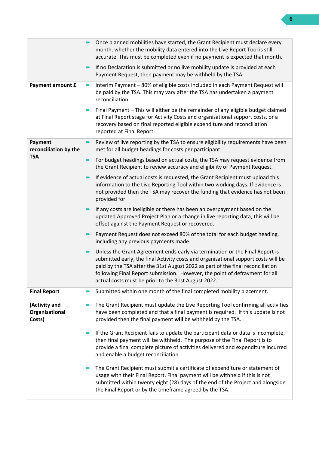|                                           | Once planned mobilities have started, the Grant Recipient must declare every<br>month, whether the mobility data entered into the Live Report Tool is still<br>accurate. This must be completed even if no payment is expected that month.                                                                                                                                                 |  |
|-------------------------------------------|--------------------------------------------------------------------------------------------------------------------------------------------------------------------------------------------------------------------------------------------------------------------------------------------------------------------------------------------------------------------------------------------|--|
|                                           | If no Declaration is submitted or no live mobility update is provided at each<br>Payment Request, then payment may be withheld by the TSA.                                                                                                                                                                                                                                                 |  |
| Payment amount £                          | Interim Payment - 80% of eligible costs included in each Payment Request will<br>be paid by the TSA. This may vary after the TSA has undertaken a payment<br>reconciliation.                                                                                                                                                                                                               |  |
|                                           | Final Payment - This will either be the remainder of any eligible budget claimed<br>at Final Report stage for Activity Costs and organisational support costs, or a<br>recovery based on final reported eligible expenditure and reconciliation<br>reported at Final Report.                                                                                                               |  |
| Payment<br>reconciliation by the          | Review of live reporting by the TSA to ensure eligibility requirements have been<br>met for all budget headings for costs per participant.                                                                                                                                                                                                                                                 |  |
| <b>TSA</b>                                | For budget headings based on actual costs, the TSA may request evidence from<br>the Grant Recipient to review accuracy and eligibility of Payment Request.                                                                                                                                                                                                                                 |  |
|                                           | If evidence of actual costs is requested, the Grant Recipient must upload this<br>information to the Live Reporting Tool within two working days. If evidence is<br>not provided then the TSA may recover the funding that evidence has not been<br>provided for.                                                                                                                          |  |
|                                           | If any costs are ineligible or there has been an overpayment based on the<br>updated Approved Project Plan or a change in live reporting data, this will be<br>offset against the Payment Request or recovered.                                                                                                                                                                            |  |
|                                           | Payment Request does not exceed 80% of the total for each budget heading,<br>including any previous payments made.                                                                                                                                                                                                                                                                         |  |
|                                           | Unless the Grant Agreement ends early via termination or the Final Report is<br>submitted early, the final Activity costs and organisational support costs will be<br>paid by the TSA after the 31st August 2022 as part of the final reconciliation<br>following Final Report submission. However, the point of defrayment for all<br>actual costs must be prior to the 31st August 2022. |  |
| <b>Final Report</b>                       | Submitted within one month of the final completed mobility placement.                                                                                                                                                                                                                                                                                                                      |  |
| (Activity and<br>Organisational<br>Costs) | The Grant Recipient must update the Live Reporting Tool confirming all activities<br>have been completed and that a final payment is required. If this update is not<br>provided then the final payment will be withheld by the TSA.                                                                                                                                                       |  |
|                                           | If the Grant Recipient fails to update the participant data or data is incomplete,<br>then final payment will be withheld. The purpose of the Final Report is to<br>provide a final complete picture of activities delivered and expenditure incurred<br>and enable a budget reconciliation.                                                                                               |  |
|                                           | The Grant Recipient must submit a certificate of expenditure or statement of<br>usage with their Final Report. Final payment will be withheld if this is not<br>submitted within twenty eight (28) days of the end of the Project and alongside<br>the Final Report or by the timeframe agreed by the TSA.                                                                                 |  |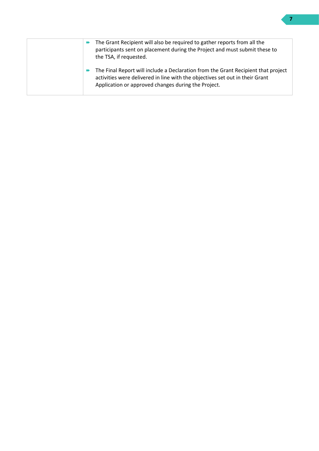| The Grant Recipient will also be required to gather reports from all the<br>participants sent on placement during the Project and must submit these to<br>the TSA, if requested.                                         |
|--------------------------------------------------------------------------------------------------------------------------------------------------------------------------------------------------------------------------|
| The Final Report will include a Declaration from the Grant Recipient that project<br>activities were delivered in line with the objectives set out in their Grant<br>Application or approved changes during the Project. |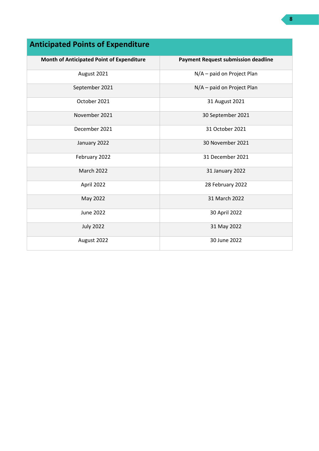| Month of Anticipated Point of Expenditure | <b>Payment Request submission deadline</b> |
|-------------------------------------------|--------------------------------------------|
| August 2021                               | N/A - paid on Project Plan                 |
| September 2021                            | N/A - paid on Project Plan                 |
| October 2021                              | 31 August 2021                             |
| November 2021                             | 30 September 2021                          |
| December 2021                             | 31 October 2021                            |
| January 2022                              | 30 November 2021                           |
| February 2022                             | 31 December 2021                           |
| March 2022                                | 31 January 2022                            |
| April 2022                                | 28 February 2022                           |
| May 2022                                  | 31 March 2022                              |
| <b>June 2022</b>                          | 30 April 2022                              |
| <b>July 2022</b>                          | 31 May 2022                                |
| August 2022                               | 30 June 2022                               |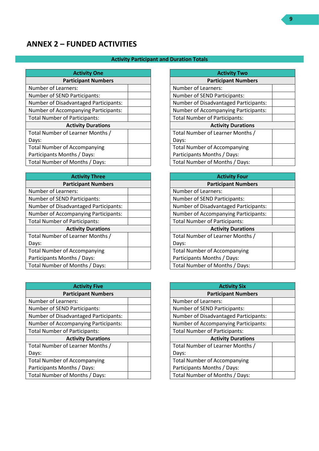# <span id="page-8-0"></span>**ANNEX 2 – FUNDED ACTIVITIES**

## **Activity Participant and Duration Totals**

| <b>Activity One</b>                         |  |
|---------------------------------------------|--|
| <b>Participant Numbers</b>                  |  |
| Number of Learners:                         |  |
| Number of SEND Participants:                |  |
| Number of Disadvantaged Participants:       |  |
| <b>Number of Accompanying Participants:</b> |  |
| <b>Total Number of Participants:</b>        |  |
| <b>Activity Durations</b>                   |  |
| Total Number of Learner Months /            |  |
| Days:                                       |  |
| <b>Total Number of Accompanying</b>         |  |
| Participants Months / Days:                 |  |
| Total Number of Months / Days:              |  |

| <b>Activity Three</b>                        |  |  |
|----------------------------------------------|--|--|
| <b>Participant Numbers</b>                   |  |  |
| Number of Learners:                          |  |  |
| Number of SEND Participants:                 |  |  |
| <b>Number of Disadvantaged Participants:</b> |  |  |
| Number of Accompanying Participants:         |  |  |
| <b>Total Number of Participants:</b>         |  |  |
| <b>Activity Durations</b>                    |  |  |
| Total Number of Learner Months /             |  |  |
| Days:                                        |  |  |
| <b>Total Number of Accompanying</b>          |  |  |
| Participants Months / Days:                  |  |  |
| Total Number of Months / Days:               |  |  |

| <b>Activity Five</b>                         |  |  |
|----------------------------------------------|--|--|
| <b>Participant Numbers</b>                   |  |  |
| Number of Learners:                          |  |  |
| Number of SEND Participants:                 |  |  |
| <b>Number of Disadvantaged Participants:</b> |  |  |
| <b>Number of Accompanying Participants:</b>  |  |  |
| <b>Total Number of Participants:</b>         |  |  |
| <b>Activity Durations</b>                    |  |  |
| Total Number of Learner Months /             |  |  |
| Days:                                        |  |  |
| <b>Total Number of Accompanying</b>          |  |  |
| Participants Months / Days:                  |  |  |
| Total Number of Months / Days:               |  |  |

| <b>Activity Two</b>                          |  |  |
|----------------------------------------------|--|--|
| <b>Participant Numbers</b>                   |  |  |
| Number of Learners:                          |  |  |
| Number of SEND Participants:                 |  |  |
| <b>Number of Disadvantaged Participants:</b> |  |  |
| <b>Number of Accompanying Participants:</b>  |  |  |
| <b>Total Number of Participants:</b>         |  |  |
| <b>Activity Durations</b>                    |  |  |
| Total Number of Learner Months /             |  |  |
| Days:                                        |  |  |
| <b>Total Number of Accompanying</b>          |  |  |
| Participants Months / Days:                  |  |  |
| Total Number of Months / Days:               |  |  |

| <b>Activity Four</b>                         |  |  |
|----------------------------------------------|--|--|
| <b>Participant Numbers</b>                   |  |  |
| Number of Learners:                          |  |  |
| Number of SEND Participants:                 |  |  |
| <b>Number of Disadvantaged Participants:</b> |  |  |
| <b>Number of Accompanying Participants:</b>  |  |  |
| <b>Total Number of Participants:</b>         |  |  |
| <b>Activity Durations</b>                    |  |  |
| Total Number of Learner Months /             |  |  |
| Days:                                        |  |  |
| <b>Total Number of Accompanying</b>          |  |  |
| Participants Months / Days:                  |  |  |
| Total Number of Months / Days:               |  |  |

| <b>Activity Six</b>                         |  |  |  |  |
|---------------------------------------------|--|--|--|--|
| <b>Participant Numbers</b>                  |  |  |  |  |
| Number of Learners:                         |  |  |  |  |
| Number of SEND Participants:                |  |  |  |  |
| Number of Disadvantaged Participants:       |  |  |  |  |
| <b>Number of Accompanying Participants:</b> |  |  |  |  |
| <b>Total Number of Participants:</b>        |  |  |  |  |
| <b>Activity Durations</b>                   |  |  |  |  |
| Total Number of Learner Months /            |  |  |  |  |
| Days:                                       |  |  |  |  |
| <b>Total Number of Accompanying</b>         |  |  |  |  |
| Participants Months / Days:                 |  |  |  |  |
| Total Number of Months / Days:              |  |  |  |  |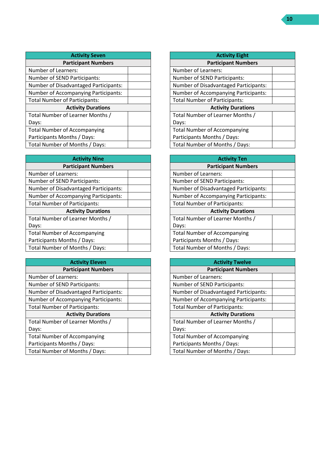| <b>Activity Seven</b>                       |  |  |  |
|---------------------------------------------|--|--|--|
| <b>Participant Numbers</b>                  |  |  |  |
| <b>Number of Learners:</b>                  |  |  |  |
| Number of SEND Participants:                |  |  |  |
| Number of Disadvantaged Participants:       |  |  |  |
| <b>Number of Accompanying Participants:</b> |  |  |  |
| <b>Total Number of Participants:</b>        |  |  |  |
| <b>Activity Durations</b>                   |  |  |  |
| Total Number of Learner Months /            |  |  |  |
| Days:                                       |  |  |  |
| <b>Total Number of Accompanying</b>         |  |  |  |
| Participants Months / Days:                 |  |  |  |
| Total Number of Months / Days:              |  |  |  |

| <b>Activity Nine</b>                         |  |  |  |
|----------------------------------------------|--|--|--|
| <b>Participant Numbers</b>                   |  |  |  |
| Number of Learners:                          |  |  |  |
| Number of SEND Participants:                 |  |  |  |
| <b>Number of Disadvantaged Participants:</b> |  |  |  |
| Number of Accompanying Participants:         |  |  |  |
| <b>Total Number of Participants:</b>         |  |  |  |
| <b>Activity Durations</b>                    |  |  |  |
| Total Number of Learner Months /             |  |  |  |
| Days:                                        |  |  |  |
| <b>Total Number of Accompanying</b>          |  |  |  |
| Participants Months / Days:                  |  |  |  |
| Total Number of Months / Days:               |  |  |  |

| <b>Activity Eleven</b>                       |  |  |  |
|----------------------------------------------|--|--|--|
| <b>Participant Numbers</b>                   |  |  |  |
| Number of Learners:                          |  |  |  |
| Number of SEND Participants:                 |  |  |  |
| <b>Number of Disadvantaged Participants:</b> |  |  |  |
| <b>Number of Accompanying Participants:</b>  |  |  |  |
| <b>Total Number of Participants:</b>         |  |  |  |
| <b>Activity Durations</b>                    |  |  |  |
| Total Number of Learner Months /             |  |  |  |
| Days:                                        |  |  |  |
| <b>Total Number of Accompanying</b>          |  |  |  |
| Participants Months / Days:                  |  |  |  |
| Total Number of Months / Days:               |  |  |  |

| <b>Activity Eight</b>                        |  |  |  |
|----------------------------------------------|--|--|--|
| <b>Participant Numbers</b>                   |  |  |  |
| Number of Learners:                          |  |  |  |
| Number of SEND Participants:                 |  |  |  |
| <b>Number of Disadvantaged Participants:</b> |  |  |  |
| <b>Number of Accompanying Participants:</b>  |  |  |  |
| <b>Total Number of Participants:</b>         |  |  |  |
| <b>Activity Durations</b>                    |  |  |  |
| Total Number of Learner Months /             |  |  |  |
| Days:                                        |  |  |  |
| <b>Total Number of Accompanying</b>          |  |  |  |
| Participants Months / Days:                  |  |  |  |
| Total Number of Months / Days:               |  |  |  |

| <b>Activity Ten</b>                          |  |  |  |
|----------------------------------------------|--|--|--|
| <b>Participant Numbers</b>                   |  |  |  |
| Number of Learners:                          |  |  |  |
| Number of SEND Participants:                 |  |  |  |
| <b>Number of Disadvantaged Participants:</b> |  |  |  |
| <b>Number of Accompanying Participants:</b>  |  |  |  |
| <b>Total Number of Participants:</b>         |  |  |  |
| <b>Activity Durations</b>                    |  |  |  |
| Total Number of Learner Months /             |  |  |  |
| Days:                                        |  |  |  |
| <b>Total Number of Accompanying</b>          |  |  |  |
| Participants Months / Days:                  |  |  |  |
| Total Number of Months / Days:               |  |  |  |

| <b>Activity Twelve</b>                       |  |  |  |
|----------------------------------------------|--|--|--|
| <b>Participant Numbers</b>                   |  |  |  |
| <b>Number of Learners:</b>                   |  |  |  |
| Number of SEND Participants:                 |  |  |  |
| <b>Number of Disadvantaged Participants:</b> |  |  |  |
| <b>Number of Accompanying Participants:</b>  |  |  |  |
| <b>Total Number of Participants:</b>         |  |  |  |
| <b>Activity Durations</b>                    |  |  |  |
| Total Number of Learner Months /             |  |  |  |
| Days:                                        |  |  |  |
| <b>Total Number of Accompanying</b>          |  |  |  |
| Participants Months / Days:                  |  |  |  |
| Total Number of Months / Days:               |  |  |  |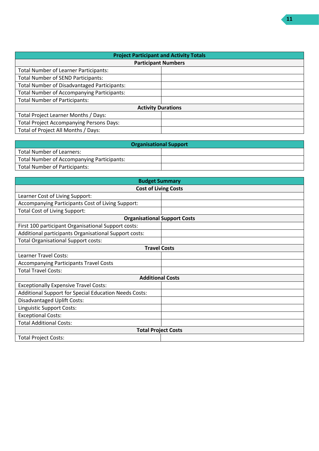| <b>Project Participant and Activity Totals</b>     |  |  |  |
|----------------------------------------------------|--|--|--|
| <b>Participant Numbers</b>                         |  |  |  |
| <b>Total Number of Learner Participants:</b>       |  |  |  |
| <b>Total Number of SEND Participants:</b>          |  |  |  |
| <b>Total Number of Disadvantaged Participants:</b> |  |  |  |
| <b>Total Number of Accompanying Participants:</b>  |  |  |  |
| <b>Total Number of Participants:</b>               |  |  |  |
| <b>Activity Durations</b>                          |  |  |  |
| Total Project Learner Months / Days:               |  |  |  |
| <b>Total Project Accompanying Persons Days:</b>    |  |  |  |
| Total of Project All Months / Days:                |  |  |  |

| <b>Organisational Support</b>              |  |  |  |
|--------------------------------------------|--|--|--|
| Total Number of Learners:                  |  |  |  |
| Total Number of Accompanying Participants: |  |  |  |
| <b>Total Number of Participants:</b>       |  |  |  |

| <b>Budget Summary</b>                                        |  |  |  |
|--------------------------------------------------------------|--|--|--|
| <b>Cost of Living Costs</b>                                  |  |  |  |
| Learner Cost of Living Support:                              |  |  |  |
| Accompanying Participants Cost of Living Support:            |  |  |  |
| <b>Total Cost of Living Support:</b>                         |  |  |  |
| <b>Organisational Support Costs</b>                          |  |  |  |
| First 100 participant Organisational Support costs:          |  |  |  |
| Additional participants Organisational Support costs:        |  |  |  |
| <b>Total Organisational Support costs:</b>                   |  |  |  |
| <b>Travel Costs</b>                                          |  |  |  |
| Learner Travel Costs:                                        |  |  |  |
| <b>Accompanying Participants Travel Costs</b>                |  |  |  |
| <b>Total Travel Costs:</b>                                   |  |  |  |
| <b>Additional Costs</b>                                      |  |  |  |
| <b>Exceptionally Expensive Travel Costs:</b>                 |  |  |  |
| <b>Additional Support for Special Education Needs Costs:</b> |  |  |  |
| <b>Disadvantaged Uplift Costs:</b>                           |  |  |  |
| Linguistic Support Costs:                                    |  |  |  |
| <b>Exceptional Costs:</b>                                    |  |  |  |
| <b>Total Additional Costs:</b>                               |  |  |  |
| <b>Total Project Costs</b>                                   |  |  |  |
| <b>Total Project Costs:</b>                                  |  |  |  |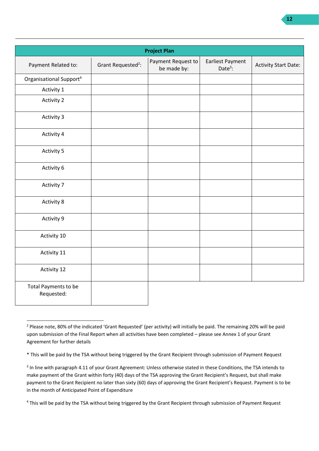| <b>Project Plan</b>                 |                                |                                   |                                       |                             |
|-------------------------------------|--------------------------------|-----------------------------------|---------------------------------------|-----------------------------|
| Payment Related to:                 | Grant Requested <sup>2</sup> : | Payment Request to<br>be made by: | <b>Earliest Payment</b><br>Date $3$ : | <b>Activity Start Date:</b> |
| Organisational Support <sup>4</sup> |                                |                                   |                                       |                             |
| Activity 1                          |                                |                                   |                                       |                             |
| <b>Activity 2</b>                   |                                |                                   |                                       |                             |
| Activity 3                          |                                |                                   |                                       |                             |
| Activity 4                          |                                |                                   |                                       |                             |
| <b>Activity 5</b>                   |                                |                                   |                                       |                             |
| Activity 6                          |                                |                                   |                                       |                             |
| Activity 7                          |                                |                                   |                                       |                             |
| Activity 8                          |                                |                                   |                                       |                             |
| Activity 9                          |                                |                                   |                                       |                             |
| Activity 10                         |                                |                                   |                                       |                             |
| Activity 11                         |                                |                                   |                                       |                             |
| Activity 12                         |                                |                                   |                                       |                             |
| Total Payments to be<br>Requested:  |                                |                                   |                                       |                             |

<sup>&</sup>lt;sup>2</sup> Please note, 80% of the indicated 'Grant Requested' (per activity) will initially be paid. The remaining 20% will be paid upon submission of the Final Report when all activities have been completed – please see Annex 1 of your Grant Agreement for further details

<sup>\*</sup> This will be paid by the TSA without being triggered by the Grant Recipient through submission of Payment Request

<sup>&</sup>lt;sup>3</sup> In line with paragraph 4.11 of your Grant Agreement: Unless otherwise stated in these Conditions, the TSA intends to make payment of the Grant within forty (40) days of the TSA approving the Grant Recipient's Request, but shall make payment to the Grant Recipient no later than sixty (60) days of approving the Grant Recipient's Request. Payment is to be in the month of Anticipated Point of Expenditure

<sup>&</sup>lt;sup>4</sup> This will be paid by the TSA without being triggered by the Grant Recipient through submission of Payment Request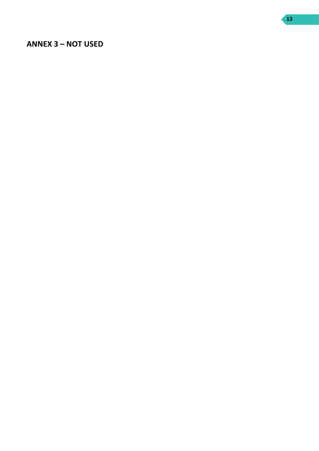## <span id="page-12-0"></span>**ANNEX 3 – NOT USED**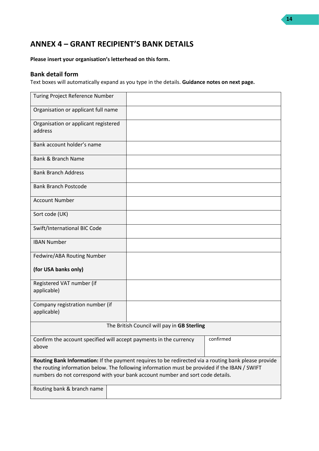# <span id="page-13-0"></span>**ANNEX 4 – GRANT RECIPIENT'S BANK DETAILS**

**Please insert your organisation's letterhead on this form.**

## **Bank detail form**

Text boxes will automatically expand as you type in the details. **Guidance notes on next page.**

| Turing Project Reference Number                                                                                                                                                                       |  |  |           |
|-------------------------------------------------------------------------------------------------------------------------------------------------------------------------------------------------------|--|--|-----------|
| Organisation or applicant full name                                                                                                                                                                   |  |  |           |
| Organisation or applicant registered<br>address                                                                                                                                                       |  |  |           |
| Bank account holder's name                                                                                                                                                                            |  |  |           |
| Bank & Branch Name                                                                                                                                                                                    |  |  |           |
| <b>Bank Branch Address</b>                                                                                                                                                                            |  |  |           |
| <b>Bank Branch Postcode</b>                                                                                                                                                                           |  |  |           |
| <b>Account Number</b>                                                                                                                                                                                 |  |  |           |
| Sort code (UK)                                                                                                                                                                                        |  |  |           |
| Swift/International BIC Code                                                                                                                                                                          |  |  |           |
| <b>IBAN Number</b>                                                                                                                                                                                    |  |  |           |
| Fedwire/ABA Routing Number                                                                                                                                                                            |  |  |           |
| (for USA banks only)                                                                                                                                                                                  |  |  |           |
| Registered VAT number (if<br>applicable)                                                                                                                                                              |  |  |           |
| Company registration number (if<br>applicable)                                                                                                                                                        |  |  |           |
| The British Council will pay in GB Sterling                                                                                                                                                           |  |  |           |
| Confirm the account specified will accept payments in the currency<br>above                                                                                                                           |  |  | confirmed |
| Routing Bank Information: If the payment requires to be redirected via a routing bank please provide<br>the routing information below. The following information must be provided if the IBAN / SWIFT |  |  |           |
| numbers do not correspond with your bank account number and sort code details.                                                                                                                        |  |  |           |
| Routing bank & branch name                                                                                                                                                                            |  |  |           |

**14**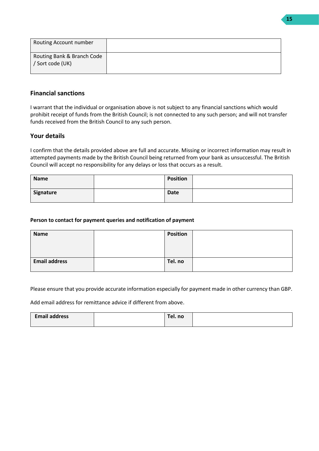| Routing Account number                         |  |
|------------------------------------------------|--|
| Routing Bank & Branch Code<br>/ Sort code (UK) |  |

## **Financial sanctions**

I warrant that the individual or organisation above is not subject to any financial sanctions which would prohibit receipt of funds from the British Council; is not connected to any such person; and will not transfer funds received from the British Council to any such person.

## **Your details**

I confirm that the details provided above are full and accurate. Missing or incorrect information may result in attempted payments made by the British Council being returned from your bank as unsuccessful. The British Council will accept no responsibility for any delays or loss that occurs as a result.

| <b>Name</b> | <b>Position</b> |  |
|-------------|-----------------|--|
| Signature   | <b>Date</b>     |  |

#### **Person to contact for payment queries and notification of payment**

| <b>Name</b>          | <b>Position</b> |  |
|----------------------|-----------------|--|
|                      |                 |  |
|                      |                 |  |
|                      |                 |  |
| <b>Email address</b> | Tel. no         |  |
|                      |                 |  |

Please ensure that you provide accurate information especially for payment made in other currency than GBP.

Add email address for remittance advice if different from above.

| <b>Email address</b> | rel. no |  |
|----------------------|---------|--|
|                      |         |  |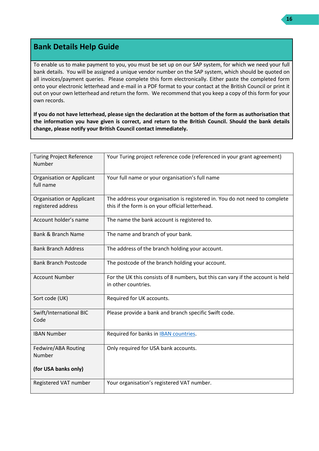# **Bank Details Help Guide**

To enable us to make payment to you, you must be set up on our SAP system, for which we need your full bank details. You will be assigned a unique vendor number on the SAP system, which should be quoted on all invoices/payment queries. Please complete this form electronically. Either paste the completed form onto your electronic letterhead and e-mail in a PDF format to your contact at the British Council or print it out on your own letterhead and return the form. We recommend that you keep a copy of this form for your own records.

**If you do not have letterhead, please sign the declaration at the bottom of the form as authorisation that the information you have given is correct, and return to the British Council. Should the bank details change, please notify your British Council contact immediately.**

| <b>Turing Project Reference</b><br>Number              | Your Turing project reference code (referenced in your grant agreement)                                                         |
|--------------------------------------------------------|---------------------------------------------------------------------------------------------------------------------------------|
| <b>Organisation or Applicant</b><br>full name          | Your full name or your organisation's full name                                                                                 |
| <b>Organisation or Applicant</b><br>registered address | The address your organisation is registered in. You do not need to complete<br>this if the form is on your official letterhead. |
| Account holder's name                                  | The name the bank account is registered to.                                                                                     |
| <b>Bank &amp; Branch Name</b>                          | The name and branch of your bank.                                                                                               |
| <b>Bank Branch Address</b>                             | The address of the branch holding your account.                                                                                 |
| <b>Bank Branch Postcode</b>                            | The postcode of the branch holding your account.                                                                                |
| <b>Account Number</b>                                  | For the UK this consists of 8 numbers, but this can vary if the account is held<br>in other countries.                          |
| Sort code (UK)                                         | Required for UK accounts.                                                                                                       |
| Swift/International BIC<br>Code                        | Please provide a bank and branch specific Swift code.                                                                           |
| <b>IBAN Number</b>                                     | Required for banks in <b>IBAN</b> countries.                                                                                    |
| Fedwire/ABA Routing<br>Number                          | Only required for USA bank accounts.                                                                                            |
| (for USA banks only)                                   |                                                                                                                                 |
| Registered VAT number                                  | Your organisation's registered VAT number.                                                                                      |

**16**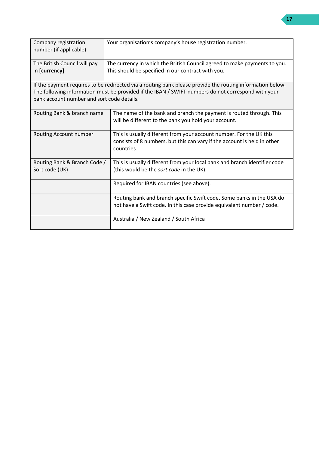| Company registration<br>number (if applicable) | Your organisation's company's house registration number.                                                  |  |
|------------------------------------------------|-----------------------------------------------------------------------------------------------------------|--|
| The British Council will pay                   | The currency in which the British Council agreed to make payments to you.                                 |  |
| in [currency]                                  | This should be specified in our contract with you.                                                        |  |
|                                                | If the payment requires to be redirected via a routing bank please provide the routing information below. |  |
|                                                | The following information must be provided if the IBAN / SWIFT numbers do not correspond with your        |  |
| bank account number and sort code details.     |                                                                                                           |  |
| Routing Bank & branch name                     | The name of the bank and branch the payment is routed through. This                                       |  |
|                                                | will be different to the bank you hold your account.                                                      |  |
| Routing Account number                         | This is usually different from your account number. For the UK this                                       |  |
|                                                | consists of 8 numbers, but this can vary if the account is held in other<br>countries.                    |  |
| Routing Bank & Branch Code /                   | This is usually different from your local bank and branch identifier code                                 |  |
| Sort code (UK)                                 | (this would be the sort code in the UK).                                                                  |  |
|                                                | Required for IBAN countries (see above).                                                                  |  |
|                                                | Routing bank and branch specific Swift code. Some banks in the USA do                                     |  |
|                                                | not have a Swift code. In this case provide equivalent number / code.                                     |  |
|                                                | Australia / New Zealand / South Africa                                                                    |  |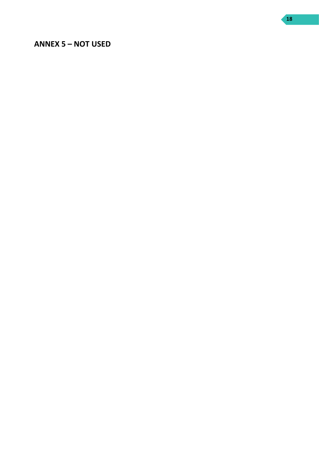## <span id="page-17-0"></span>**ANNEX 5 – NOT USED**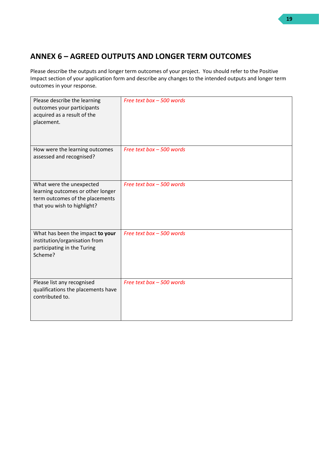# <span id="page-18-0"></span>**ANNEX 6 – AGREED OUTPUTS AND LONGER TERM OUTCOMES**

Please describe the outputs and longer term outcomes of your project. You should refer to the Positive Impact section of your application form and describe any changes to the intended outputs and longer term outcomes in your response.

| Please describe the learning<br>outcomes your participants<br>acquired as a result of the<br>placement.                         | Free text box - 500 words |
|---------------------------------------------------------------------------------------------------------------------------------|---------------------------|
| How were the learning outcomes<br>assessed and recognised?                                                                      | Free text box - 500 words |
| What were the unexpected<br>learning outcomes or other longer<br>term outcomes of the placements<br>that you wish to highlight? | Free text box - 500 words |
| What has been the impact to your<br>institution/organisation from<br>participating in the Turing<br>Scheme?                     | Free text box - 500 words |
| Please list any recognised<br>qualifications the placements have<br>contributed to.                                             | Free text box - 500 words |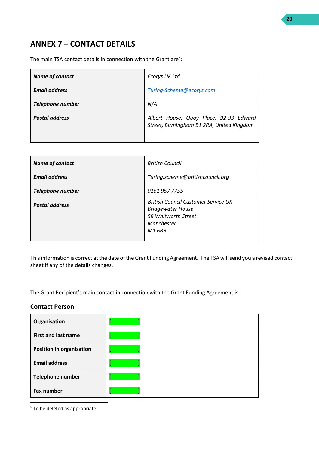# <span id="page-19-0"></span>**ANNEX 7 – CONTACT DETAILS**

The main TSA contact details in connection with the Grant are<sup>5</sup>:

| <b>Name of contact</b> | <b>Ecorys UK Ltd</b>                                                                |
|------------------------|-------------------------------------------------------------------------------------|
| <b>Email address</b>   | Turing-Scheme@ecorys.com                                                            |
| Telephone number       | N/A                                                                                 |
| <b>Postal address</b>  | Albert House, Quay Place, 92-93 Edward<br>Street, Birmingham B1 2RA, United Kingdom |

| <b>Name of contact</b>  | <b>British Council</b>                                                                                                |
|-------------------------|-----------------------------------------------------------------------------------------------------------------------|
| <b>Email address</b>    | Turing.scheme@britishcouncil.org                                                                                      |
| <b>Telephone number</b> | 0161 957 7755                                                                                                         |
| <b>Postal address</b>   | <b>British Council Customer Service UK</b><br><b>Bridgewater House</b><br>58 Whitworth Street<br>Manchester<br>M1 6BB |

This information is correct at the date of the Grant Funding Agreement. The TSA will send you a revised contact sheet if any of the details changes.

The Grant Recipient's main contact in connection with the Grant Funding Agreement is:

## **Contact Person**

| Organisation                    |  |
|---------------------------------|--|
| <b>First and last name</b>      |  |
| <b>Position in organisation</b> |  |
| <b>Email address</b>            |  |
| Telephone number                |  |
| Fax number                      |  |

<sup>5</sup> To be deleted as appropriate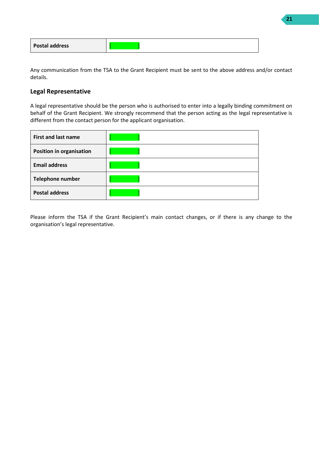| <b>Postal address</b> |  |
|-----------------------|--|
|-----------------------|--|

Any communication from the TSA to the Grant Recipient must be sent to the above address and/or contact details.

## **Legal Representative**

A legal representative should be the person who is authorised to enter into a legally binding commitment on behalf of the Grant Recipient. We strongly recommend that the person acting as the legal representative is different from the contact person for the applicant organisation.

| <b>First and last name</b>      |  |
|---------------------------------|--|
| <b>Position in organisation</b> |  |
| <b>Email address</b>            |  |
| Telephone number                |  |
| <b>Postal address</b>           |  |

Please inform the TSA if the Grant Recipient's main contact changes, or if there is any change to the organisation's legal representative.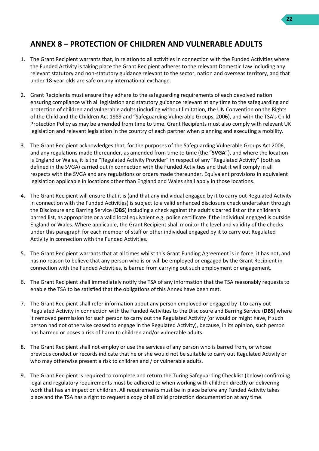# <span id="page-21-0"></span>**ANNEX 8 – PROTECTION OF CHILDREN AND VULNERABLE ADULTS**

- 1. The Grant Recipient warrants that, in relation to all activities in connection with the Funded Activities where the Funded Activity is taking place the Grant Recipient adheres to the relevant Domestic Law including any relevant statutory and non-statutory guidance relevant to the sector, nation and overseas territory, and that under 18-year olds are safe on any international exchange.
- 2. Grant Recipients must ensure they adhere to the safeguarding requirements of each devolved nation ensuring compliance with all legislation and statutory guidance relevant at any time to the safeguarding and protection of children and vulnerable adults (including without limitation, the UN Convention on the Rights of the Child and the Children Act 1989 and "Safeguarding Vulnerable Groups, 2006), and with the TSA's Child Protection Policy as may be amended from time to time. Grant Recipients must also comply with relevant UK legislation and relevant legislation in the country of each partner when planning and executing a mobility.
- 3. The Grant Recipient acknowledges that, for the purposes of the Safeguarding Vulnerable Groups Act 2006, and any regulations made thereunder, as amended from time to time (the "**SVGA**"), and where the location is England or Wales, it is the "Regulated Activity Provider" in respect of any "Regulated Activity" (both as defined in the SVGA) carried out in connection with the Funded Activities and that it will comply in all respects with the SVGA and any regulations or orders made thereunder. Equivalent provisions in equivalent legislation applicable in locations other than England and Wales shall apply in those locations.
- 4. The Grant Recipient will ensure that it is (and that any individual engaged by it to carry out Regulated Activity in connection with the Funded Activities) is subject to a valid enhanced disclosure check undertaken through the Disclosure and Barring Service (**DBS**) including a check against the adult's barred list or the children's barred list, as appropriate or a valid local equivalent e.g. police certificate if the individual engaged is outside England or Wales. Where applicable, the Grant Recipient shall monitor the level and validity of the checks under this paragraph for each member of staff or other individual engaged by it to carry out Regulated Activity in connection with the Funded Activities.
- 5. The Grant Recipient warrants that at all times whilst this Grant Funding Agreement is in force, it has not, and has no reason to believe that any person who is or will be employed or engaged by the Grant Recipient in connection with the Funded Activities, is barred from carrying out such employment or engagement.
- 6. The Grant Recipient shall immediately notify the TSA of any information that the TSA reasonably requests to enable the TSA to be satisfied that the obligations of this Annex have been met.
- 7. The Grant Recipient shall refer information about any person employed or engaged by it to carry out Regulated Activity in connection with the Funded Activities to the Disclosure and Barring Service (**DBS**) where it removed permission for such person to carry out the Regulated Activity (or would or might have, if such person had not otherwise ceased to engage in the Regulated Activity), because, in its opinion, such person has harmed or poses a risk of harm to children and/or vulnerable adults.
- 8. The Grant Recipient shall not employ or use the services of any person who is barred from, or whose previous conduct or records indicate that he or she would not be suitable to carry out Regulated Activity or who may otherwise present a risk to children and / or vulnerable adults.
- 9. The Grant Recipient is required to complete and return the Turing Safeguarding Checklist (below) confirming legal and regulatory requirements must be adhered to when working with children directly or delivering work that has an impact on children. All requirements must be in place before any Funded Activity takes place and the TSA has a right to request a copy of all child protection documentation at any time.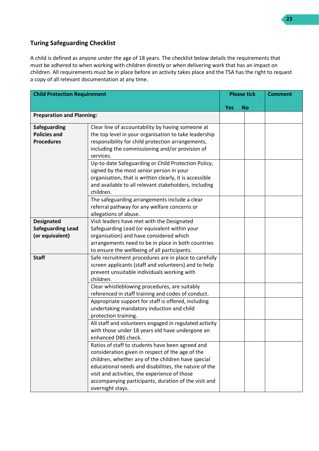## **Turing Safeguarding Checklist**

A child is defined as anyone under the age of 18 years. The checklist below details the requirements that must be adhered to when working with children directly or when delivering work that has an impact on children. All requirements must be in place before an activity takes place and the TSA has the right to request a copy of all relevant documentation at any time.

| <b>Child Protection Requirement</b>                              |                                                                                                                                                                                                                                                                                                                                                                                                                                                                                                                                                                                                                                                                                                                                                                                                                                                                                  | <b>Please tick</b> |           | <b>Comment</b> |
|------------------------------------------------------------------|----------------------------------------------------------------------------------------------------------------------------------------------------------------------------------------------------------------------------------------------------------------------------------------------------------------------------------------------------------------------------------------------------------------------------------------------------------------------------------------------------------------------------------------------------------------------------------------------------------------------------------------------------------------------------------------------------------------------------------------------------------------------------------------------------------------------------------------------------------------------------------|--------------------|-----------|----------------|
|                                                                  |                                                                                                                                                                                                                                                                                                                                                                                                                                                                                                                                                                                                                                                                                                                                                                                                                                                                                  | <b>Yes</b>         | <b>No</b> |                |
| <b>Preparation and Planning:</b>                                 |                                                                                                                                                                                                                                                                                                                                                                                                                                                                                                                                                                                                                                                                                                                                                                                                                                                                                  |                    |           |                |
| <b>Safeguarding</b><br><b>Policies and</b><br><b>Procedures</b>  | Clear line of accountability by having someone at<br>the top level in your organisation to take leadership<br>responsibility for child protection arrangements,<br>including the commissioning and/or provision of<br>services.<br>Up-to-date Safeguarding or Child Protection Policy,<br>signed by the most senior person in your<br>organisation, that is written clearly, it is accessible<br>and available to all relevant stakeholders, including<br>children.<br>The safeguarding arrangements include a clear<br>referral pathway for any welfare concerns or                                                                                                                                                                                                                                                                                                             |                    |           |                |
| <b>Designated</b><br><b>Safeguarding Lead</b><br>(or equivalent) | allegations of abuse.<br>Visit leaders have met with the Designated<br>Safeguarding Lead (or equivalent within your<br>organisation) and have considered which<br>arrangements need to be in place in both countries<br>to ensure the wellbeing of all participants.                                                                                                                                                                                                                                                                                                                                                                                                                                                                                                                                                                                                             |                    |           |                |
| <b>Staff</b>                                                     | Safe recruitment procedures are in place to carefully<br>screen applicants (staff and volunteers) and to help<br>prevent unsuitable individuals working with<br>children.<br>Clear whistleblowing procedures, are suitably<br>referenced in staff training and codes of conduct.<br>Appropriate support for staff is offered, including<br>undertaking mandatory induction and child<br>protection training.<br>All staff and volunteers engaged in regulated activity<br>with those under 18 years old have undergone an<br>enhanced DBS check.<br>Ratios of staff to students have been agreed and<br>consideration given in respect of the age of the<br>children, whether any of the children have special<br>educational needs and disabilities, the nature of the<br>visit and activities, the experience of those<br>accompanying participants, duration of the visit and |                    |           |                |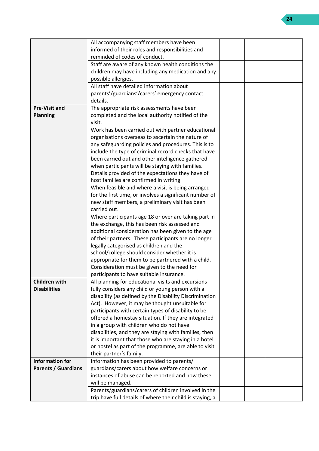|                            | All accompanying staff members have been                  |  |  |
|----------------------------|-----------------------------------------------------------|--|--|
|                            | informed of their roles and responsibilities and          |  |  |
|                            | reminded of codes of conduct.                             |  |  |
|                            | Staff are aware of any known health conditions the        |  |  |
|                            | children may have including any medication and any        |  |  |
|                            | possible allergies.                                       |  |  |
|                            | All staff have detailed information about                 |  |  |
|                            | parents'/guardians'/carers' emergency contact             |  |  |
|                            | details.                                                  |  |  |
| <b>Pre-Visit and</b>       | The appropriate risk assessments have been                |  |  |
| <b>Planning</b>            | completed and the local authority notified of the         |  |  |
|                            | visit.                                                    |  |  |
|                            | Work has been carried out with partner educational        |  |  |
|                            | organisations overseas to ascertain the nature of         |  |  |
|                            | any safeguarding policies and procedures. This is to      |  |  |
|                            | include the type of criminal record checks that have      |  |  |
|                            | been carried out and other intelligence gathered          |  |  |
|                            | when participants will be staying with families.          |  |  |
|                            | Details provided of the expectations they have of         |  |  |
|                            | host families are confirmed in writing.                   |  |  |
|                            | When feasible and where a visit is being arranged         |  |  |
|                            | for the first time, or involves a significant number of   |  |  |
|                            | new staff members, a preliminary visit has been           |  |  |
|                            | carried out.                                              |  |  |
|                            | Where participants age 18 or over are taking part in      |  |  |
|                            | the exchange, this has been risk assessed and             |  |  |
|                            | additional consideration has been given to the age        |  |  |
|                            | of their partners. These participants are no longer       |  |  |
|                            | legally categorised as children and the                   |  |  |
|                            | school/college should consider whether it is              |  |  |
|                            | appropriate for them to be partnered with a child.        |  |  |
|                            | Consideration must be given to the need for               |  |  |
|                            | participants to have suitable insurance.                  |  |  |
| <b>Children with</b>       | All planning for educational visits and excursions        |  |  |
| <b>Disabilities</b>        | fully considers any child or young person with a          |  |  |
|                            | disability (as defined by the Disability Discrimination   |  |  |
|                            | Act). However, it may be thought unsuitable for           |  |  |
|                            | participants with certain types of disability to be       |  |  |
|                            | offered a homestay situation. If they are integrated      |  |  |
|                            | in a group with children who do not have                  |  |  |
|                            | disabilities, and they are staying with families, then    |  |  |
|                            | it is important that those who are staying in a hotel     |  |  |
|                            | or hostel as part of the programme, are able to visit     |  |  |
|                            | their partner's family.                                   |  |  |
| <b>Information for</b>     |                                                           |  |  |
|                            | Information has been provided to parents/                 |  |  |
| <b>Parents / Guardians</b> | guardians/carers about how welfare concerns or            |  |  |
|                            | instances of abuse can be reported and how these          |  |  |
|                            | will be managed.                                          |  |  |
|                            | Parents/guardians/carers of children involved in the      |  |  |
|                            | trip have full details of where their child is staying, a |  |  |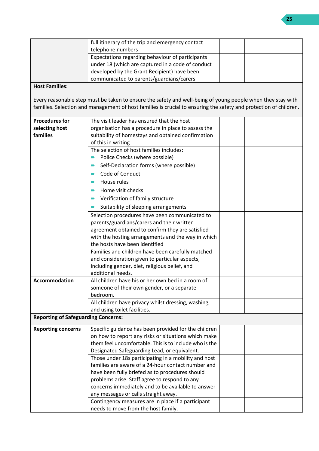|                                            | full itinerary of the trip and emergency contact                                                                  |  |  |
|--------------------------------------------|-------------------------------------------------------------------------------------------------------------------|--|--|
|                                            | telephone numbers                                                                                                 |  |  |
|                                            | Expectations regarding behaviour of participants                                                                  |  |  |
|                                            | under 18 (which are captured in a code of conduct                                                                 |  |  |
|                                            | developed by the Grant Recipient) have been                                                                       |  |  |
|                                            | communicated to parents/guardians/carers.                                                                         |  |  |
| <b>Host Families:</b>                      |                                                                                                                   |  |  |
|                                            | Every reasonable step must be taken to ensure the safety and well-being of young people when they stay with       |  |  |
|                                            | families. Selection and management of host families is crucial to ensuring the safety and protection of children. |  |  |
|                                            |                                                                                                                   |  |  |
| <b>Procedures for</b>                      | The visit leader has ensured that the host                                                                        |  |  |
| selecting host                             | organisation has a procedure in place to assess the                                                               |  |  |
| families                                   | suitability of homestays and obtained confirmation                                                                |  |  |
|                                            | of this in writing                                                                                                |  |  |
|                                            | The selection of host families includes:                                                                          |  |  |
|                                            | Police Checks (where possible)<br>$\blacksquare$                                                                  |  |  |
|                                            | Self-Declaration forms (where possible)                                                                           |  |  |
|                                            | Code of Conduct                                                                                                   |  |  |
|                                            |                                                                                                                   |  |  |
|                                            | House rules                                                                                                       |  |  |
|                                            | Home visit checks                                                                                                 |  |  |
|                                            | Verification of family structure<br>$\blacksquare$                                                                |  |  |
|                                            | Suitability of sleeping arrangements                                                                              |  |  |
|                                            | Selection procedures have been communicated to                                                                    |  |  |
|                                            | parents/guardians/carers and their written                                                                        |  |  |
|                                            | agreement obtained to confirm they are satisfied                                                                  |  |  |
|                                            | with the hosting arrangements and the way in which                                                                |  |  |
|                                            | the hosts have been identified                                                                                    |  |  |
|                                            | Families and children have been carefully matched                                                                 |  |  |
|                                            | and consideration given to particular aspects,                                                                    |  |  |
|                                            | including gender, diet, religious belief, and                                                                     |  |  |
|                                            | additional needs.                                                                                                 |  |  |
| <b>Accommodation</b>                       | All children have his or her own bed in a room of                                                                 |  |  |
|                                            | someone of their own gender, or a separate                                                                        |  |  |
|                                            | bedroom.                                                                                                          |  |  |
|                                            | All children have privacy whilst dressing, washing,                                                               |  |  |
|                                            | and using toilet facilities.                                                                                      |  |  |
| <b>Reporting of Safeguarding Concerns:</b> |                                                                                                                   |  |  |
| <b>Reporting concerns</b>                  | Specific guidance has been provided for the children                                                              |  |  |
|                                            | on how to report any risks or situations which make                                                               |  |  |
|                                            | them feel uncomfortable. This is to include who is the                                                            |  |  |
|                                            | Designated Safeguarding Lead, or equivalent.                                                                      |  |  |
|                                            | Those under 18s participating in a mobility and host                                                              |  |  |
|                                            | families are aware of a 24-hour contact number and                                                                |  |  |
|                                            | have been fully briefed as to procedures should                                                                   |  |  |
|                                            | problems arise. Staff agree to respond to any                                                                     |  |  |
|                                            | concerns immediately and to be available to answer                                                                |  |  |
|                                            | any messages or calls straight away.                                                                              |  |  |
|                                            | Contingency measures are in place if a participant                                                                |  |  |
|                                            | needs to move from the host family.                                                                               |  |  |

**25**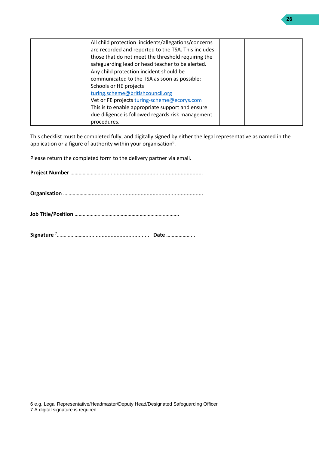| All child protection incidents/allegations/concerns |  |  |
|-----------------------------------------------------|--|--|
| are recorded and reported to the TSA. This includes |  |  |
| those that do not meet the threshold requiring the  |  |  |
| safeguarding lead or head teacher to be alerted.    |  |  |
| Any child protection incident should be             |  |  |
| communicated to the TSA as soon as possible:        |  |  |
| Schools or HE projects                              |  |  |
| turing.scheme@britishcouncil.org                    |  |  |
| Vet or FE projects turing-scheme@ecorys.com         |  |  |
| This is to enable appropriate support and ensure    |  |  |
| due diligence is followed regards risk management   |  |  |
| procedures.                                         |  |  |

This checklist must be completed fully, and digitally signed by either the legal representative as named in the application or a figure of authority within your organisation $6$ .

Please return the completed form to the delivery partner via email.

**Project Number** …………………......................................................................

**Organisation** …………………...........................................................................

**Job Title/Position** …………………………………………………………………..

**Signature** <sup>7</sup>…………………........................................... **Date** ………………...

<sup>6</sup> e.g. Legal Representative/Headmaster/Deputy Head/Designated Safeguarding Officer

<sup>7</sup> A digital signature is required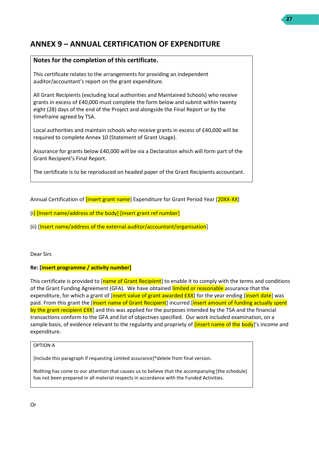# <span id="page-26-0"></span>**ANNEX 9 – ANNUAL CERTIFICATION OF EXPENDITURE**

## **Notes for the completion of this certificate.**

This certificate relates to the arrangements for providing an independent auditor/accountant's report on the grant expenditure.

All Grant Recipients (excluding local authorities and Maintained Schools) who receive grants in excess of £40,000 must complete the form below and submit within twenty eight (28) days of the end of the Project and alongside the Final Report or by the timeframe agreed by TSA.

Local authorities and maintain schools who receive grants in excess of £40,000 will be required to complete Annex 10 (Statement of Grant Usage).

Assurance for grants below £40,000 will be via a Declaration which will form part of the Grant Recipient's Final Report.

The certificate is to be reproduced on headed paper of the Grant Recipients accountant.

Annual Certification of *[insert grant name]* Expenditure for Grant Period Year [20XX-XX]

(i) [Insert name/address of the body] [insert grant ref number]

(ii) [Insert name/address of the external auditor/accountant/organisation]

Dear Sirs

#### **Re: [insert programme / activity number]**

This certificate is provided to [name of Grant Recipient] to enable it to comply with the terms and conditions of the Grant Funding Agreement (GFA). We have obtained limited or reasonable assurance that the expenditure, for which a grant of [insert value of grant awarded  $EXX$ ] for the year ending [insert date] was paid. From this grant the *[insert name of Grant Recipient]* incurred *[insert amount of funding actually spent* by the grant recipient  $EXX$ ] and this was applied for the purposes intended by the TSA and the financial transactions conform to the GFA and list of objectives specified. Our work included examination, on a sample basis, of evidence relevant to the regularity and propriety of *[insert name of the body]'*'s income and expenditure.

#### OPTION A

[Include this paragraph if requesting Limited assurance]\*delete from final version.

Nothing has come to our attention that causes us to believe that the accompanying [the schedule] has not been prepared in all material respects in accordance with the Funded Activities.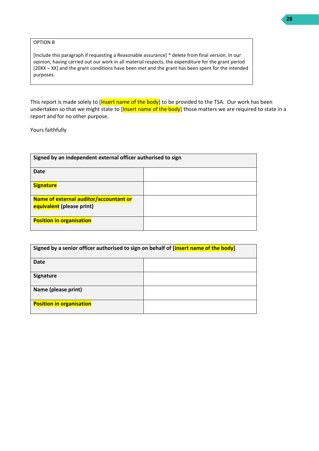OPTION B

[Include this paragraph if requesting a Reasonable assurance] \* delete from final version. In our opinion, having carried out our work in all material respects, the expenditure for the grant period [20XX – XX] and the grant conditions have been met and the grant has been spent for the intended purposes.

This report is made solely to [Insert name of the body] to be provided to the TSA. Our work has been undertaken so that we might state to [Insert name of the body] those matters we are required to state in a report and for no other purpose.

Yours faithfully

| Signed by an independent external officer authorised to sign |  |  |
|--------------------------------------------------------------|--|--|
| <b>Date</b>                                                  |  |  |
| <b>Signature</b>                                             |  |  |
| Name of external auditor/accountant or                       |  |  |
| equivalent (please print)                                    |  |  |
| <b>Position in organisation</b>                              |  |  |

| Signed by a senior officer authorised to sign on behalf of [insert name of the body] |  |  |  |  |  |
|--------------------------------------------------------------------------------------|--|--|--|--|--|
| <b>Date</b>                                                                          |  |  |  |  |  |
| Signature                                                                            |  |  |  |  |  |
| Name (please print)                                                                  |  |  |  |  |  |
| <b>Position in organisation</b>                                                      |  |  |  |  |  |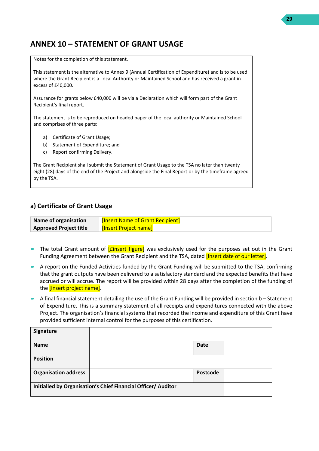# <span id="page-28-0"></span>**ANNEX 10 – STATEMENT OF GRANT USAGE**

Notes for the completion of this statement.

This statement is the alternative to Annex 9 (Annual Certification of Expenditure) and is to be used where the Grant Recipient is a Local Authority or Maintained School and has received a grant in excess of £40,000.

Assurance for grants below £40,000 will be via a Declaration which will form part of the Grant Recipient's final report.

The statement is to be reproduced on headed paper of the local authority or Maintained School and comprises of three parts:

- a) Certificate of Grant Usage;
- b) Statement of Expenditure; and
- c) Report confirming Delivery.

The Grant Recipient shall submit the Statement of Grant Usage to the TSA no later than twenty eight (28) days of the end of the Project and alongside the Final Report or by the timeframe agreed by the TSA.

#### **a) Certificate of Grant Usage**

| Name of organisation          | <b>[Insert Name of Grant Recipient]</b> |
|-------------------------------|-----------------------------------------|
| <b>Approved Project title</b> | <b>[Insert Project name]</b>            |

- The total Grant amount of *[£insert figure]* was exclusively used for the purposes set out in the Grant Funding Agreement between the Grant Recipient and the TSA, dated *[insert date of our letter]*.
- A report on the Funded Activities funded by the Grant Funding will be submitted to the TSA, confirming that the grant outputs have been delivered to a satisfactory standard and the expected benefits that have accrued or will accrue. The report will be provided within 28 days after the completion of the funding of the *[insert project name]*.
- A final financial statement detailing the use of the Grant Funding will be provided in section b Statement of Expenditure. This is a summary statement of all receipts and expenditures connected with the above Project. The organisation's financial systems that recorded the income and expenditure of this Grant have provided sufficient internal control for the purposes of this certification.

| <b>Signature</b>            |                                                               |             |  |
|-----------------------------|---------------------------------------------------------------|-------------|--|
| <b>Name</b>                 |                                                               | <b>Date</b> |  |
| <b>Position</b>             |                                                               |             |  |
| <b>Organisation address</b> |                                                               | Postcode    |  |
|                             | Initialled by Organisation's Chief Financial Officer/ Auditor |             |  |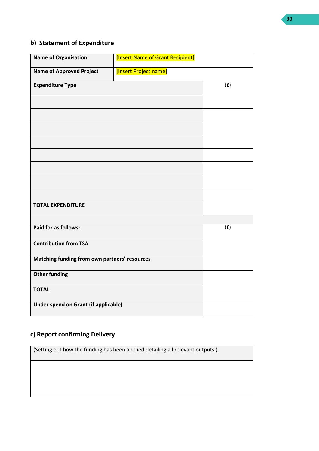## **b) Statement of Expenditure**

| <b>Name of Organisation</b>                   | [Insert Name of Grant Recipient] |     |
|-----------------------------------------------|----------------------------------|-----|
| <b>Name of Approved Project</b>               | [Insert Project name]            |     |
| <b>Expenditure Type</b>                       |                                  | (f) |
|                                               |                                  |     |
|                                               |                                  |     |
|                                               |                                  |     |
|                                               |                                  |     |
|                                               |                                  |     |
|                                               |                                  |     |
|                                               |                                  |     |
|                                               |                                  |     |
| <b>TOTAL EXPENDITURE</b>                      |                                  |     |
|                                               |                                  |     |
| Paid for as follows:                          |                                  | (f) |
| <b>Contribution from TSA</b>                  |                                  |     |
| Matching funding from own partners' resources |                                  |     |
| <b>Other funding</b>                          |                                  |     |
| <b>TOTAL</b>                                  |                                  |     |
| Under spend on Grant (if applicable)          |                                  |     |

# **c) Report confirming Delivery**

(Setting out how the funding has been applied detailing all relevant outputs.)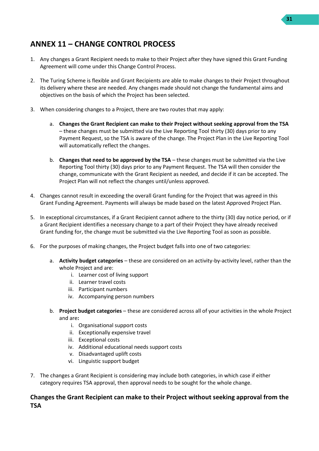## **31**

## <span id="page-30-0"></span>**ANNEX 11 – CHANGE CONTROL PROCESS**

- 1. Any changes a Grant Recipient needs to make to their Project after they have signed this Grant Funding Agreement will come under this Change Control Process.
- 2. The Turing Scheme is flexible and Grant Recipients are able to make changes to their Project throughout its delivery where these are needed. Any changes made should not change the fundamental aims and objectives on the basis of which the Project has been selected.
- 3. When considering changes to a Project, there are two routes that may apply:
	- a. **Changes the Grant Recipient can make to their Project without seeking approval from the TSA** – these changes must be submitted via the Live Reporting Tool thirty (30) days prior to any Payment Request, so the TSA is aware of the change. The Project Plan in the Live Reporting Tool will automatically reflect the changes.
	- b. **Changes that need to be approved by the TSA** these changes must be submitted via the Live Reporting Tool thirty (30) days prior to any Payment Request. The TSA will then consider the change, communicate with the Grant Recipient as needed, and decide if it can be accepted. The Project Plan will not reflect the changes until/unless approved.
- 4. Changes cannot result in exceeding the overall Grant funding for the Project that was agreed in this Grant Funding Agreement. Payments will always be made based on the latest Approved Project Plan.
- 5. In exceptional circumstances, if a Grant Recipient cannot adhere to the thirty (30) day notice period, or if a Grant Recipient identifies a necessary change to a part of their Project they have already received Grant funding for, the change must be submitted via the Live Reporting Tool as soon as possible.
- 6. For the purposes of making changes, the Project budget falls into one of two categories:
	- a. **Activity budget categories** these are considered on an activity-by-activity level, rather than the whole Project and are:
		- i. Learner cost of living support
		- ii. Learner travel costs
		- iii. Participant numbers
		- iv. Accompanying person numbers
	- b. **Project budget categories**  these are considered across all of your activities in the whole Project and are**:** 
		- i. Organisational support costs
		- ii. Exceptionally expensive travel
		- iii. Exceptional costs
		- iv. Additional educational needs support costs
		- v. Disadvantaged uplift costs
		- vi. Linguistic support budget
- 7. The changes a Grant Recipient is considering may include both categories, in which case if either category requires TSA approval, then approval needs to be sought for the whole change.

## **Changes the Grant Recipient can make to their Project without seeking approval from the TSA**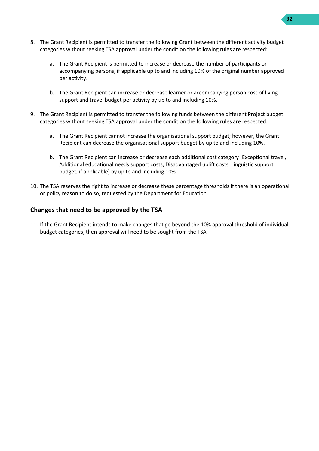- 8. The Grant Recipient is permitted to transfer the following Grant between the different activity budget categories without seeking TSA approval under the condition the following rules are respected:
	- a. The Grant Recipient is permitted to increase or decrease the number of participants or accompanying persons, if applicable up to and including 10% of the original number approved per activity.
	- b. The Grant Recipient can increase or decrease learner or accompanying person cost of living support and travel budget per activity by up to and including 10%.
- 9. The Grant Recipient is permitted to transfer the following funds between the different Project budget categories without seeking TSA approval under the condition the following rules are respected:
	- a. The Grant Recipient cannot increase the organisational support budget; however, the Grant Recipient can decrease the organisational support budget by up to and including 10%.
	- b. The Grant Recipient can increase or decrease each additional cost category (Exceptional travel, Additional educational needs support costs, Disadvantaged uplift costs, Linguistic support budget, if applicable) by up to and including 10%.
- 10. The TSA reserves the right to increase or decrease these percentage thresholds if there is an operational or policy reason to do so, requested by the Department for Education.

## **Changes that need to be approved by the TSA**

11. If the Grant Recipient intends to make changes that go beyond the 10% approval threshold of individual budget categories, then approval will need to be sought from the TSA.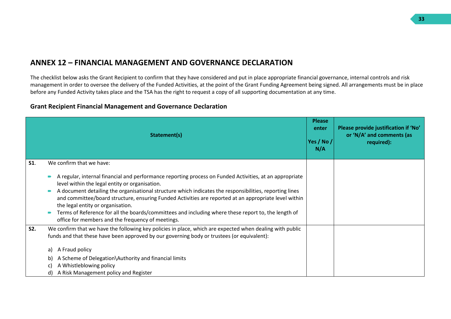## **ANNEX 12 – FINANCIAL MANAGEMENT AND GOVERNANCE DECLARATION**

The checklist below asks the Grant Recipient to confirm that they have considered and put in place appropriate financial governance, internal controls and risk management in order to oversee the delivery of the Funded Activities, at the point of the Grant Funding Agreement being signed. All arrangements must be in place before any Funded Activity takes place and the TSA has the right to request a copy of all supporting documentation at any time.

## **Grant Recipient Financial Management and Governance Declaration**

<span id="page-32-0"></span>

|            | Statement(s)                                                                                                                                                                                                                                                                                                                                                                                                                                                                                                                                                                                               | <b>Please</b><br>enter<br>Yes / No /<br>N/A | Please provide justification if 'No'<br>or 'N/A' and comments (as<br>required): |
|------------|------------------------------------------------------------------------------------------------------------------------------------------------------------------------------------------------------------------------------------------------------------------------------------------------------------------------------------------------------------------------------------------------------------------------------------------------------------------------------------------------------------------------------------------------------------------------------------------------------------|---------------------------------------------|---------------------------------------------------------------------------------|
| <b>S1.</b> | We confirm that we have:<br>A regular, internal financial and performance reporting process on Funded Activities, at an appropriate<br>level within the legal entity or organisation.<br>A document detailing the organisational structure which indicates the responsibilities, reporting lines<br>and committee/board structure, ensuring Funded Activities are reported at an appropriate level within<br>the legal entity or organisation.<br>Terms of Reference for all the boards/committees and including where these report to, the length of<br>office for members and the frequency of meetings. |                                             |                                                                                 |
| S2.        | We confirm that we have the following key policies in place, which are expected when dealing with public<br>funds and that these have been approved by our governing body or trustees (or equivalent):<br>A Fraud policy<br>a)<br>A Scheme of Delegation\Authority and financial limits<br>b)<br>A Whistleblowing policy<br>C)<br>A Risk Management policy and Register<br>d)                                                                                                                                                                                                                              |                                             |                                                                                 |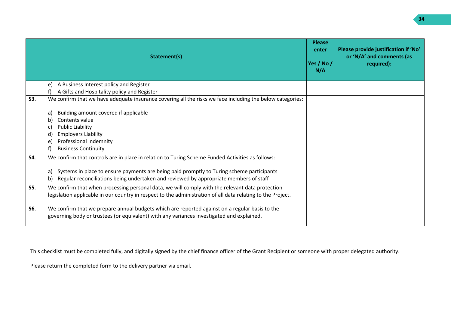|            | Statement(s)                                                                                                | <b>Please</b><br>enter<br>Yes / No /<br>N/A | Please provide justification if 'No'<br>or 'N/A' and comments (as<br>required): |
|------------|-------------------------------------------------------------------------------------------------------------|---------------------------------------------|---------------------------------------------------------------------------------|
|            | A Business Interest policy and Register<br>e)                                                               |                                             |                                                                                 |
|            | A Gifts and Hospitality policy and Register                                                                 |                                             |                                                                                 |
| S3.        | We confirm that we have adequate insurance covering all the risks we face including the below categories:   |                                             |                                                                                 |
|            | Building amount covered if applicable<br>a)                                                                 |                                             |                                                                                 |
|            | Contents value<br>b                                                                                         |                                             |                                                                                 |
|            | <b>Public Liability</b><br>C.                                                                               |                                             |                                                                                 |
|            | <b>Employers Liability</b><br>d                                                                             |                                             |                                                                                 |
|            | Professional Indemnity<br>e                                                                                 |                                             |                                                                                 |
|            | <b>Business Continuity</b>                                                                                  |                                             |                                                                                 |
| S4.        | We confirm that controls are in place in relation to Turing Scheme Funded Activities as follows:            |                                             |                                                                                 |
|            | Systems in place to ensure payments are being paid promptly to Turing scheme participants<br>a)             |                                             |                                                                                 |
|            | Regular reconciliations being undertaken and reviewed by appropriate members of staff<br>b)                 |                                             |                                                                                 |
| <b>S5.</b> | We confirm that when processing personal data, we will comply with the relevant data protection             |                                             |                                                                                 |
|            | legislation applicable in our country in respect to the administration of all data relating to the Project. |                                             |                                                                                 |
| <b>S6.</b> | We confirm that we prepare annual budgets which are reported against on a regular basis to the              |                                             |                                                                                 |
|            | governing body or trustees (or equivalent) with any variances investigated and explained.                   |                                             |                                                                                 |

This checklist must be completed fully, and digitally signed by the chief finance officer of the Grant Recipient or someone with proper delegated authority.

Please return the completed form to the delivery partner via email.